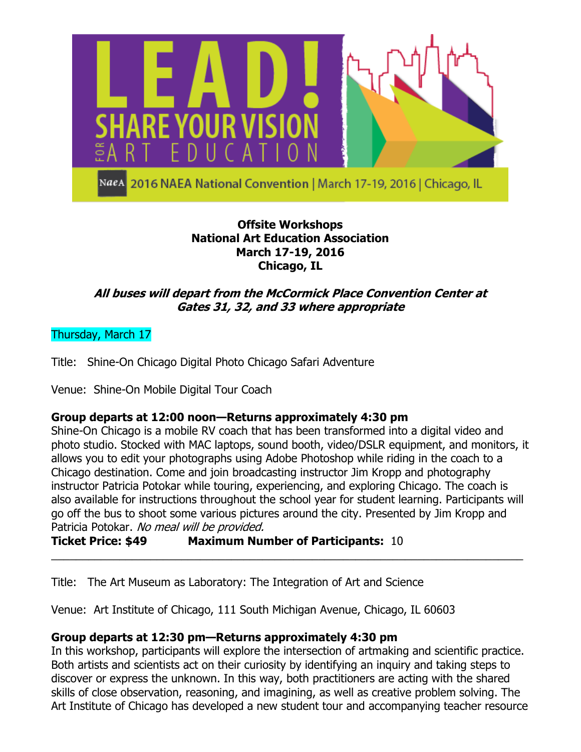

**Offsite Workshops**

# **National Art Education Association March 17-19, 2016 Chicago, IL**

# **All buses will depart from the McCormick Place Convention Center at Gates 31, 32, and 33 where appropriate**

Thursday, March 17

Title: Shine-On Chicago Digital Photo Chicago Safari Adventure

Venue: Shine-On Mobile Digital Tour Coach

# **Group departs at 12:00 noon—Returns approximately 4:30 pm**

Shine-On Chicago is a mobile RV coach that has been transformed into a digital video and photo studio. Stocked with MAC laptops, sound booth, video/DSLR equipment, and monitors, it allows you to edit your photographs using Adobe Photoshop while riding in the coach to a Chicago destination. Come and join broadcasting instructor Jim Kropp and photography instructor Patricia Potokar while touring, experiencing, and exploring Chicago. The coach is also available for instructions throughout the school year for student learning. Participants will go off the bus to shoot some various pictures around the city. Presented by Jim Kropp and Patricia Potokar. No meal will be provided.

\_\_\_\_\_\_\_\_\_\_\_\_\_\_\_\_\_\_\_\_\_\_\_\_\_\_\_\_\_\_\_\_\_\_\_\_\_\_\_\_\_\_\_\_\_\_\_\_\_\_\_\_\_\_\_\_\_\_\_\_\_\_\_\_\_\_\_\_\_\_\_\_\_\_\_\_

**Ticket Price: \$49 Maximum Number of Participants:** 10

Title: The Art Museum as Laboratory: The Integration of Art and Science

Venue: Art Institute of Chicago, 111 South Michigan Avenue, Chicago, IL 60603

# **Group departs at 12:30 pm—Returns approximately 4:30 pm**

In this workshop, participants will explore the intersection of artmaking and scientific practice. Both artists and scientists act on their curiosity by identifying an inquiry and taking steps to discover or express the unknown. In this way, both practitioners are acting with the shared skills of close observation, reasoning, and imagining, as well as creative problem solving. The Art Institute of Chicago has developed a new student tour and accompanying teacher resource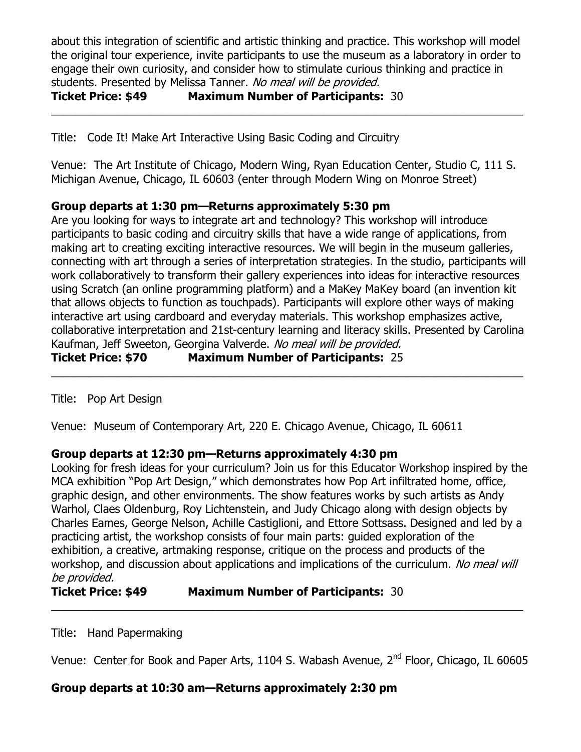about this integration of scientific and artistic thinking and practice. This workshop will model the original tour experience, invite participants to use the museum as a laboratory in order to engage their own curiosity, and consider how to stimulate curious thinking and practice in students. Presented by Melissa Tanner. No meal will be provided. **Ticket Price: \$49 Maximum Number of Participants:** 30

\_\_\_\_\_\_\_\_\_\_\_\_\_\_\_\_\_\_\_\_\_\_\_\_\_\_\_\_\_\_\_\_\_\_\_\_\_\_\_\_\_\_\_\_\_\_\_\_\_\_\_\_\_\_\_\_\_\_\_\_\_\_\_\_\_\_\_\_\_\_\_\_\_\_\_\_

Title: Code It! Make Art Interactive Using Basic Coding and Circuitry

Venue: The Art Institute of Chicago, Modern Wing, Ryan Education Center, Studio C, 111 S. Michigan Avenue, Chicago, IL 60603 (enter through Modern Wing on Monroe Street)

## **Group departs at 1:30 pm—Returns approximately 5:30 pm**

Are you looking for ways to integrate art and technology? This workshop will introduce participants to basic coding and circuitry skills that have a wide range of applications, from making art to creating exciting interactive resources. We will begin in the museum galleries, connecting with art through a series of interpretation strategies. In the studio, participants will work collaboratively to transform their gallery experiences into ideas for interactive resources using Scratch (an online programming platform) and a MaKey MaKey board (an invention kit that allows objects to function as touchpads). Participants will explore other ways of making interactive art using cardboard and everyday materials. This workshop emphasizes active, collaborative interpretation and 21st-century learning and literacy skills. Presented by Carolina Kaufman, Jeff Sweeton, Georgina Valverde. No meal will be provided.

\_\_\_\_\_\_\_\_\_\_\_\_\_\_\_\_\_\_\_\_\_\_\_\_\_\_\_\_\_\_\_\_\_\_\_\_\_\_\_\_\_\_\_\_\_\_\_\_\_\_\_\_\_\_\_\_\_\_\_\_\_\_\_\_\_\_\_\_\_\_\_\_\_\_\_\_

**Ticket Price: \$70 Maximum Number of Participants:** 25

Title: Pop Art Design

Venue: Museum of Contemporary Art, 220 E. Chicago Avenue, Chicago, IL 60611

## **Group departs at 12:30 pm—Returns approximately 4:30 pm**

Looking for fresh ideas for your curriculum? Join us for this Educator Workshop inspired by the MCA exhibition "Pop Art Design," which demonstrates how Pop Art infiltrated home, office, graphic design, and other environments. The show features works by such artists as Andy Warhol, Claes Oldenburg, Roy Lichtenstein, and Judy Chicago along with design objects by Charles Eames, George Nelson, Achille Castiglioni, and Ettore Sottsass. Designed and led by a practicing artist, the workshop consists of four main parts: guided exploration of the exhibition, a creative, artmaking response, critique on the process and products of the workshop, and discussion about applications and implications of the curriculum. No meal will be provided.

# **Ticket Price: \$49 Maximum Number of Participants:** 30

Title: Hand Papermaking

Venue: Center for Book and Paper Arts, 1104 S. Wabash Avenue, 2<sup>nd</sup> Floor, Chicago, IL 60605

\_\_\_\_\_\_\_\_\_\_\_\_\_\_\_\_\_\_\_\_\_\_\_\_\_\_\_\_\_\_\_\_\_\_\_\_\_\_\_\_\_\_\_\_\_\_\_\_\_\_\_\_\_\_\_\_\_\_\_\_\_\_\_\_\_\_\_\_\_\_\_\_\_\_\_\_

## **Group departs at 10:30 am—Returns approximately 2:30 pm**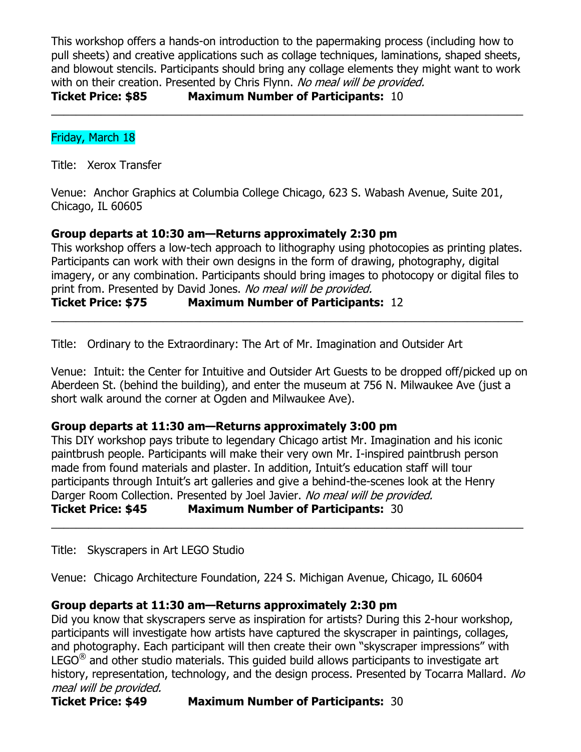This workshop offers a hands-on introduction to the papermaking process (including how to pull sheets) and creative applications such as collage techniques, laminations, shaped sheets, and blowout stencils. Participants should bring any collage elements they might want to work with on their creation. Presented by Chris Flynn. No meal will be provided. **Ticket Price: \$85 Maximum Number of Participants:** 10

\_\_\_\_\_\_\_\_\_\_\_\_\_\_\_\_\_\_\_\_\_\_\_\_\_\_\_\_\_\_\_\_\_\_\_\_\_\_\_\_\_\_\_\_\_\_\_\_\_\_\_\_\_\_\_\_\_\_\_\_\_\_\_\_\_\_\_\_\_\_\_\_\_\_\_\_

## Friday, March 18

Title: Xerox Transfer

Venue: Anchor Graphics at Columbia College Chicago, 623 S. Wabash Avenue, Suite 201, Chicago, IL 60605

## **Group departs at 10:30 am—Returns approximately 2:30 pm**

This workshop offers a low-tech approach to lithography using photocopies as printing plates. Participants can work with their own designs in the form of drawing, photography, digital imagery, or any combination. Participants should bring images to photocopy or digital files to print from. Presented by David Jones. No meal will be provided.

\_\_\_\_\_\_\_\_\_\_\_\_\_\_\_\_\_\_\_\_\_\_\_\_\_\_\_\_\_\_\_\_\_\_\_\_\_\_\_\_\_\_\_\_\_\_\_\_\_\_\_\_\_\_\_\_\_\_\_\_\_\_\_\_\_\_\_\_\_\_\_\_\_\_\_\_

### **Ticket Price: \$75 Maximum Number of Participants:** 12

Title: Ordinary to the Extraordinary: The Art of Mr. Imagination and Outsider Art

Venue: Intuit: the Center for Intuitive and Outsider Art Guests to be dropped off/picked up on Aberdeen St. (behind the building), and enter the museum at 756 N. Milwaukee Ave (just a short walk around the corner at Ogden and Milwaukee Ave).

#### **Group departs at 11:30 am—Returns approximately 3:00 pm**

This DIY workshop pays tribute to legendary Chicago artist Mr. Imagination and his iconic paintbrush people. Participants will make their very own Mr. I-inspired paintbrush person made from found materials and plaster. In addition, Intuit's education staff will tour participants through Intuit's art galleries and give a behind-the-scenes look at the Henry Darger Room Collection. Presented by Joel Javier. No meal will be provided. **Ticket Price: \$45 Maximum Number of Participants:** 30

\_\_\_\_\_\_\_\_\_\_\_\_\_\_\_\_\_\_\_\_\_\_\_\_\_\_\_\_\_\_\_\_\_\_\_\_\_\_\_\_\_\_\_\_\_\_\_\_\_\_\_\_\_\_\_\_\_\_\_\_\_\_\_\_\_\_\_\_\_\_\_\_\_\_\_\_

Title: Skyscrapers in Art LEGO Studio

Venue: Chicago Architecture Foundation, 224 S. Michigan Avenue, Chicago, IL 60604

#### **Group departs at 11:30 am—Returns approximately 2:30 pm**

Did you know that skyscrapers serve as inspiration for artists? During this 2-hour workshop, participants will investigate how artists have captured the skyscraper in paintings, collages, and photography. Each participant will then create their own "skyscraper impressions" with  $LEGO<sup>(8)</sup>$  and other studio materials. This quided build allows participants to investigate art history, representation, technology, and the design process. Presented by Tocarra Mallard. No meal will be provided.

**Ticket Price: \$49 Maximum Number of Participants:** 30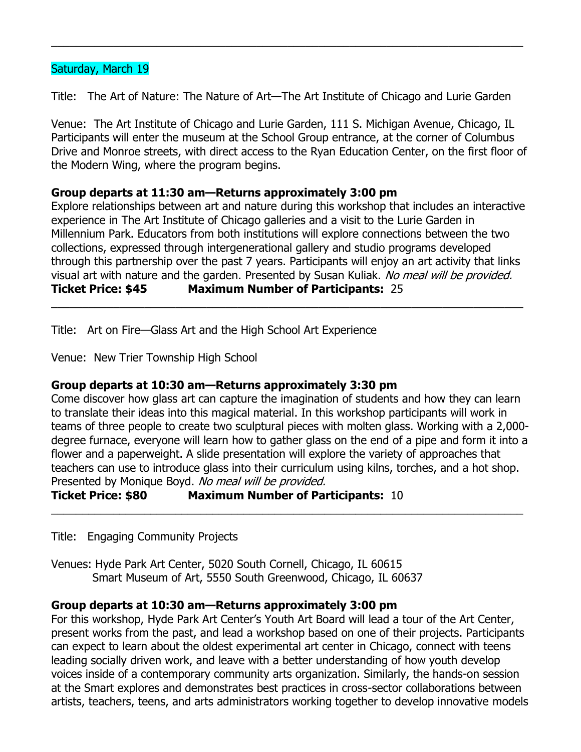#### Saturday, March 19

Title: The Art of Nature: The Nature of Art—The Art Institute of Chicago and Lurie Garden

\_\_\_\_\_\_\_\_\_\_\_\_\_\_\_\_\_\_\_\_\_\_\_\_\_\_\_\_\_\_\_\_\_\_\_\_\_\_\_\_\_\_\_\_\_\_\_\_\_\_\_\_\_\_\_\_\_\_\_\_\_\_\_\_\_\_\_\_\_\_\_\_\_\_\_\_

Venue: The Art Institute of Chicago and Lurie Garden, 111 S. Michigan Avenue, Chicago, IL Participants will enter the museum at the School Group entrance, at the corner of Columbus Drive and Monroe streets, with direct access to the Ryan Education Center, on the first floor of the Modern Wing, where the program begins.

## **Group departs at 11:30 am—Returns approximately 3:00 pm**

Explore relationships between art and nature during this workshop that includes an interactive experience in The Art Institute of Chicago galleries and a visit to the Lurie Garden in Millennium Park. Educators from both institutions will explore connections between the two collections, expressed through intergenerational gallery and studio programs developed through this partnership over the past 7 years. Participants will enjoy an art activity that links visual art with nature and the garden. Presented by Susan Kuliak. No meal will be provided. **Ticket Price: \$45 Maximum Number of Participants:** 25

\_\_\_\_\_\_\_\_\_\_\_\_\_\_\_\_\_\_\_\_\_\_\_\_\_\_\_\_\_\_\_\_\_\_\_\_\_\_\_\_\_\_\_\_\_\_\_\_\_\_\_\_\_\_\_\_\_\_\_\_\_\_\_\_\_\_\_\_\_\_\_\_\_\_\_\_

Title: Art on Fire—Glass Art and the High School Art Experience

Venue: New Trier Township High School

#### **Group departs at 10:30 am—Returns approximately 3:30 pm**

Come discover how glass art can capture the imagination of students and how they can learn to translate their ideas into this magical material. In this workshop participants will work in teams of three people to create two sculptural pieces with molten glass. Working with a 2,000 degree furnace, everyone will learn how to gather glass on the end of a pipe and form it into a flower and a paperweight. A slide presentation will explore the variety of approaches that teachers can use to introduce glass into their curriculum using kilns, torches, and a hot shop. Presented by Monique Boyd. No meal will be provided.

\_\_\_\_\_\_\_\_\_\_\_\_\_\_\_\_\_\_\_\_\_\_\_\_\_\_\_\_\_\_\_\_\_\_\_\_\_\_\_\_\_\_\_\_\_\_\_\_\_\_\_\_\_\_\_\_\_\_\_\_\_\_\_\_\_\_\_\_\_\_\_\_\_\_\_\_

**Ticket Price: \$80 Maximum Number of Participants:** 10

Title: Engaging Community Projects

Venues: Hyde Park Art Center, 5020 South Cornell, Chicago, IL 60615 Smart Museum of Art, 5550 South Greenwood, Chicago, IL 60637

#### **Group departs at 10:30 am—Returns approximately 3:00 pm**

For this workshop, Hyde Park Art Center's Youth Art Board will lead a tour of the Art Center, present works from the past, and lead a workshop based on one of their projects. Participants can expect to learn about the oldest experimental art center in Chicago, connect with teens leading socially driven work, and leave with a better understanding of how youth develop voices inside of a contemporary community arts organization. Similarly, the hands-on session at the Smart explores and demonstrates best practices in cross-sector collaborations between artists, teachers, teens, and arts administrators working together to develop innovative models